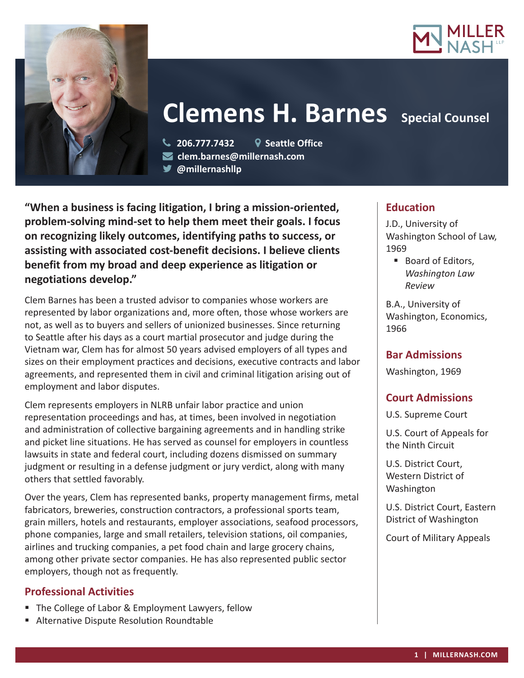



# **Clemens H. Barnes** Special Counsel

 **206.777.7432 Seattle Office clem.barnes@millernash.com** 

**@millernashllp** 

**"When a business is facing litigation, I bring a mission-oriented, problem-solving mind-set to help them meet their goals. I focus on recognizing likely outcomes, identifying paths to success, or assisting with associated cost-benefit decisions. I believe clients benefit from my broad and deep experience as litigation or negotiations develop."**

Clem Barnes has been a trusted advisor to companies whose workers are represented by labor organizations and, more often, those whose workers are not, as well as to buyers and sellers of unionized businesses. Since returning to Seattle after his days as a court martial prosecutor and judge during the Vietnam war, Clem has for almost 50 years advised employers of all types and sizes on their employment practices and decisions, executive contracts and labor agreements, and represented them in civil and criminal litigation arising out of employment and labor disputes.

Clem represents employers in NLRB unfair labor practice and union representation proceedings and has, at times, been involved in negotiation and administration of collective bargaining agreements and in handling strike and picket line situations. He has served as counsel for employers in countless lawsuits in state and federal court, including dozens dismissed on summary judgment or resulting in a defense judgment or jury verdict, along with many others that settled favorably.

Over the years, Clem has represented banks, property management firms, metal fabricators, breweries, construction contractors, a professional sports team, grain millers, hotels and restaurants, employer associations, seafood processors, phone companies, large and small retailers, television stations, oil companies, airlines and trucking companies, a pet food chain and large grocery chains, among other private sector companies. He has also represented public sector employers, though not as frequently.

### **Professional Activities**

- The College of Labor & Employment Lawyers, fellow
- Alternative Dispute Resolution Roundtable

## **Education**

J.D., University of Washington School of Law, 1969

■ Board of Editors, *Washington Law Review*

B.A., University of Washington, Economics, 1966

### **Bar Admissions**

Washington, 1969

## **Court Admissions**

U.S. Supreme Court

U.S. Court of Appeals for the Ninth Circuit

U.S. District Court, Western District of Washington

U.S. District Court, Eastern District of Washington

Court of Military Appeals